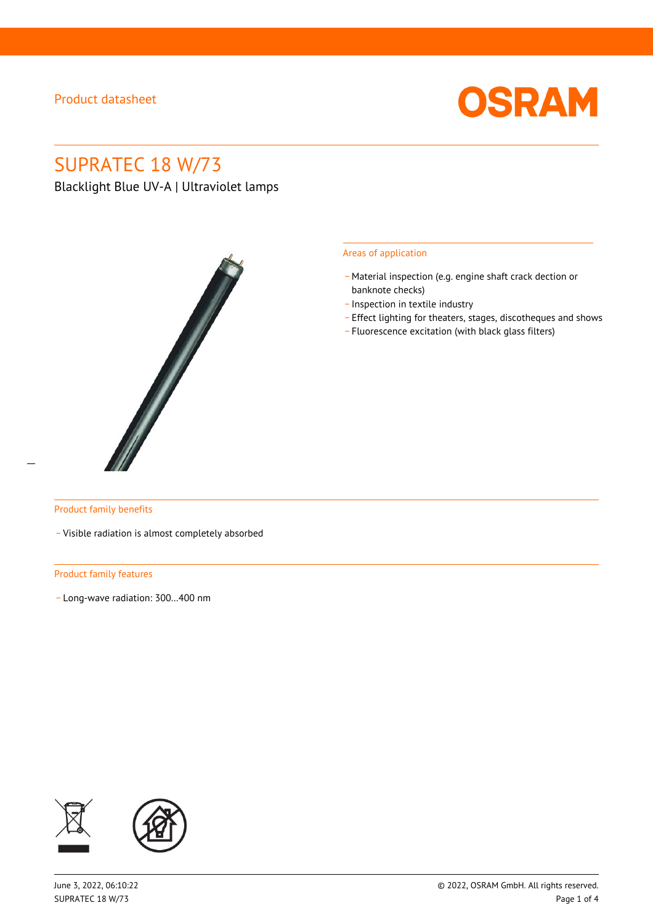

# SUPRATEC 18 W/73

Blacklight Blue UV-A | Ultraviolet lamps



#### Areas of application

- Material inspection (e.g. engine shaft crack dection or banknote checks)
- \_ Inspection in textile industry
- \_ Effect lighting for theaters, stages, discotheques and shows
- \_ Fluorescence excitation (with black glass filters)

 $\overline{a}$ 

#### Product family benefits

\_ Visible radiation is almost completely absorbed

#### Product family features

\_ Long-wave radiation: 300…400 nm

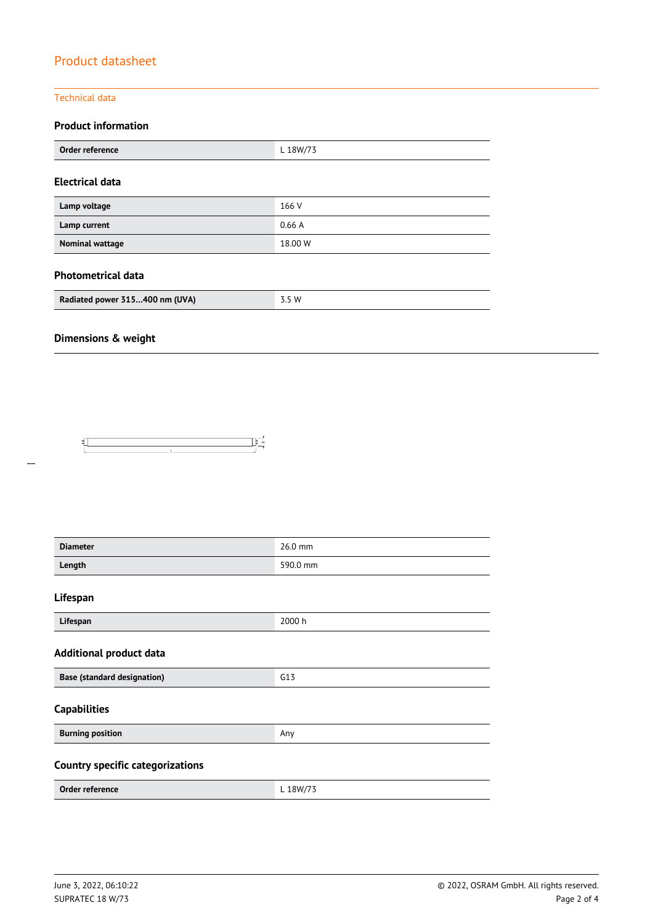#### Technical data

### **Product information**

| Order reference        | L 18W/73 |  |  |
|------------------------|----------|--|--|
| <b>Electrical data</b> |          |  |  |
| Lamp voltage           | 166 V    |  |  |
| Lamp current           | 0.66A    |  |  |
| <b>Nominal wattage</b> | 18.00 W  |  |  |

### **Photometrical data**

| Radiated power 315400 nm (UVA) | 3.5 W |
|--------------------------------|-------|

## **Dimensions & weight**



| <b>Diameter</b>                         | 26.0 mm  |  |
|-----------------------------------------|----------|--|
| Length                                  | 590.0 mm |  |
| Lifespan                                |          |  |
| Lifespan                                | 2000 h   |  |
| <b>Additional product data</b>          |          |  |
| <b>Base (standard designation)</b>      | G13      |  |
| <b>Capabilities</b>                     |          |  |
| <b>Burning position</b>                 | Any      |  |
| <b>Country specific categorizations</b> |          |  |
| Order reference                         | L 18W/73 |  |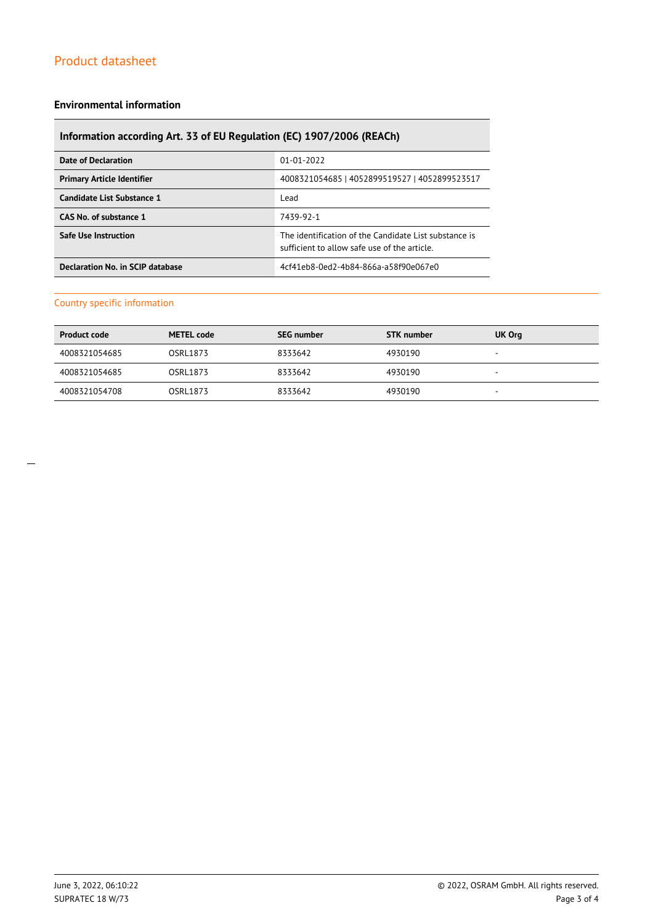#### **Environmental information**

## **Information according Art. 33 of EU Regulation (EC) 1907/2006 (REACh)**

| Date of Declaration               | 01-01-2022                                                                                           |
|-----------------------------------|------------------------------------------------------------------------------------------------------|
| <b>Primary Article Identifier</b> | 4008321054685   4052899519527   4052899523517                                                        |
| Candidate List Substance 1        | Lead                                                                                                 |
| CAS No. of substance 1            | 7439-92-1                                                                                            |
| <b>Safe Use Instruction</b>       | The identification of the Candidate List substance is<br>sufficient to allow safe use of the article |
| Declaration No. in SCIP database  | 4cf41eb8-0ed2-4b84-866a-a58f90e067e0                                                                 |

### Country specific information

| <b>Product code</b> | <b>METEL code</b> | <b>SEG number</b> | <b>STK</b> number | UK Org |
|---------------------|-------------------|-------------------|-------------------|--------|
| 4008321054685       | OSRL1873          | 8333642           | 4930190           |        |
| 4008321054685       | OSRL1873          | 8333642           | 4930190           |        |
| 4008321054708       | OSRL1873          | 8333642           | 4930190           |        |